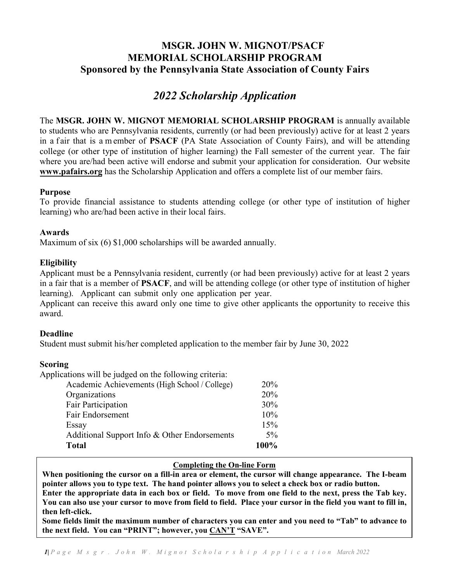### **MSGR. JOHN W. MIGNOT/PSACF MEMORIAL SCHOLARSHIP PROGRAM Sponsored by the Pennsylvania State Association of County Fairs**

## *2022 Scholarship Application*

The **MSGR. JOHN W. MIGNOT MEMORIAL SCHOLARSHIP PROGRAM** is annually available to students who are Pennsylvania residents, currently (or had been previously) active for at least 2 years in a fair that is a member of **PSACF** (PA State Association of County Fairs), and will be attending college (or other type of institution of higher learning) the Fall semester of the current year. The fair where you are/had been active will endorse and submit your application for consideration. Our website **[www.pafairs.org](http://www.pafairs.org/)** has the Scholarship Application and offers a complete list of our member fairs.

#### **Purpose**

To provide financial assistance to students attending college (or other type of institution of higher learning) who are/had been active in their local fairs.

#### **Awards**

Maximum of six (6) \$1,000 scholarships will be awarded annually.

#### **Eligibility**

Applicant must be a Pennsylvania resident, currently (or had been previously) active for at least 2 years in a fair that is a member of **PSACF**, and will be attending college (or other type of institution of higher learning). Applicant can submit only one application per year.

Applicant can receive this award only one time to give other applicants the opportunity to receive this award.

#### **Deadline**

Student must submit his/her completed application to the member fair by June 30, 2022

#### **Scoring**

Applications will be judged on the following criteria:

| $\frac{1}{2}$<br>Academic Achievements (High School / College) | 20%   |
|----------------------------------------------------------------|-------|
| Organizations                                                  | 20%   |
| Fair Participation                                             | 30%   |
| Fair Endorsement                                               | 10%   |
| Essay                                                          | 15%   |
| Additional Support Info & Other Endorsements                   | $5\%$ |
| <b>Total</b>                                                   | 100%  |

#### **Completing the On-line Form**

**When positioning the cursor on a fill-in area or element, the cursor will change appearance. The I-beam pointer allows you to type text. The hand pointer allows you to select a check box or radio button. Enter the appropriate data in each box or field. To move from one field to the next, press the Tab key. You can also use your cursor to move from field to field. Place your cursor in the field you want to fill in, then left-click.** 

**Some fields limit the maximum number of characters you can enter and you need to "Tab" to advance to the next field. You can "PRINT"; however, you CAN'T "SAVE".**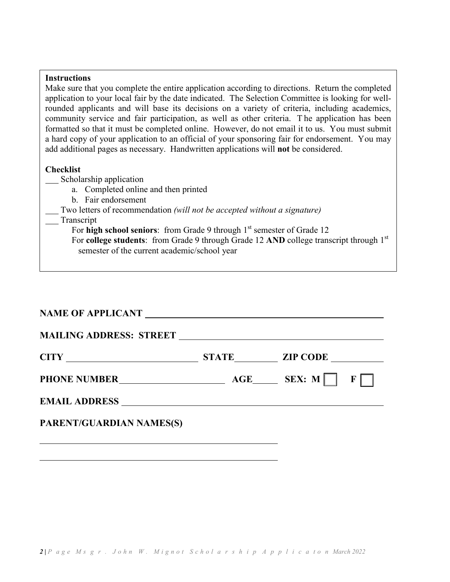#### **Instructions**

Make sure that you complete the entire application according to directions. Return the completed application to your local fair by the date indicated. The Selection Committee is looking for wellrounded applicants and will base its decisions on a variety of criteria, including academics, community service and fair participation, as well as other criteria. T he application has been formatted so that it must be completed online. However, do not email it to us. You must submit a hard copy of your application to an official of your sponsoring fair for endorsement. You may add additional pages as necessary. Handwritten applications will **not** be considered.

#### **Checklist**

Scholarship application

- a. Completed online and then printed
- b. Fair endorsement

Two letters of recommendation *(will not be accepted without a signature)*

Transcript

For **high school seniors**: from Grade 9 through 1<sup>st</sup> semester of Grade 12 For **college students**: from Grade 9 through Grade 12 AND college transcript through 1<sup>st</sup> semester of the current academic/school year

#### **NAME OF APPLICANT**

| PARENT/GUARDIAN NAMES(S) |  |  |
|--------------------------|--|--|
|                          |  |  |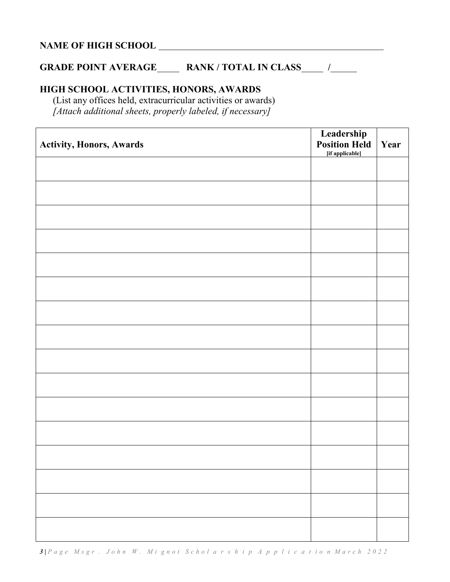# **NAME OF HIGH SCHOOL**

### **GRADE POINT AVERAGE\_\_\_\_\_\_\_ RANK / TOTAL IN CLASS\_\_\_\_\_\_ /\_\_\_\_\_\_\_**

### **HIGH SCHOOL ACTIVITIES, HONORS, AWARDS**

(List any offices held, extracurricular activities or awards) *[Attach additional sheets, properly labeled, if necessary]*

| <b>Activity, Honors, Awards</b> | <b>Leadership<br/>Position Held</b><br>[if applicable] | Year |
|---------------------------------|--------------------------------------------------------|------|
|                                 |                                                        |      |
|                                 |                                                        |      |
|                                 |                                                        |      |
|                                 |                                                        |      |
|                                 |                                                        |      |
|                                 |                                                        |      |
|                                 |                                                        |      |
|                                 |                                                        |      |
|                                 |                                                        |      |
|                                 |                                                        |      |
|                                 |                                                        |      |
|                                 |                                                        |      |
|                                 |                                                        |      |
|                                 |                                                        |      |
|                                 |                                                        |      |
|                                 |                                                        |      |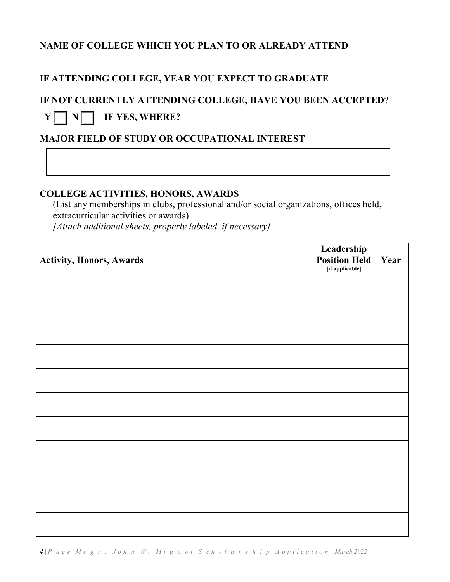### **NAME OF COLLEGE WHICH YOU PLAN TO OR ALREADY ATTEND**

### **IF ATTENDING COLLEGE, YEAR YOU EXPECT TO GRADUATE**

# **IF NOT CURRENTLY ATTENDING COLLEGE, HAVE YOU BEEN ACCEPTED**?  $Y \cap N \cap$  **IF YES, WHERE?**

### **MAJOR FIELD OF STUDY OR OCCUPATIONAL INTEREST**

#### **COLLEGE ACTIVITIES, HONORS, AWARDS**

(List any memberships in clubs, professional and/or social organizations, offices held, extracurricular activities or awards) *[Attach additional sheets, properly labeled, if necessary]*

| <b>Activity, Honors, Awards</b> | Leadership<br><b>Position Held</b><br>[if applicable] | Year |
|---------------------------------|-------------------------------------------------------|------|
|                                 |                                                       |      |
|                                 |                                                       |      |
|                                 |                                                       |      |
|                                 |                                                       |      |
|                                 |                                                       |      |
|                                 |                                                       |      |
|                                 |                                                       |      |
|                                 |                                                       |      |
|                                 |                                                       |      |
|                                 |                                                       |      |
|                                 |                                                       |      |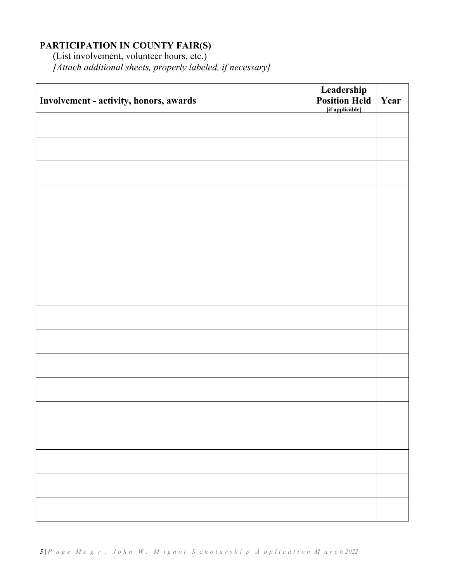### **PARTICIPATION IN COUNTY FAIR(S)**

(List involvement, volunteer hours, etc.) *[Attach additional sheets, properly labeled, if necessary]* 

| Involvement - activity, honors, awards | Leadership<br><b>Position Held</b><br>[if applicable] | Year |
|----------------------------------------|-------------------------------------------------------|------|
|                                        |                                                       |      |
|                                        |                                                       |      |
|                                        |                                                       |      |
|                                        |                                                       |      |
|                                        |                                                       |      |
|                                        |                                                       |      |
|                                        |                                                       |      |
|                                        |                                                       |      |
|                                        |                                                       |      |
|                                        |                                                       |      |
|                                        |                                                       |      |
|                                        |                                                       |      |
|                                        |                                                       |      |
|                                        |                                                       |      |
|                                        |                                                       |      |
|                                        |                                                       |      |
|                                        |                                                       |      |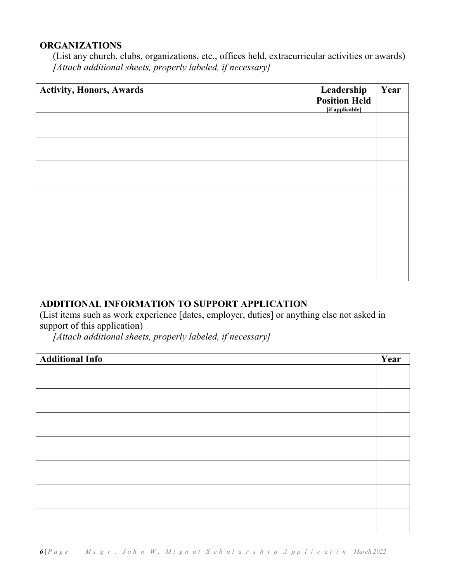### **ORGANIZATIONS**

(List any church, clubs, organizations, etc., offices held, extracurricular activities or awards) *[Attach additional sheets, properly labeled, if necessary]*

| <b>Activity, Honors, Awards</b> | Leadership<br><b>Position Held</b><br>[if applicable] | Year |
|---------------------------------|-------------------------------------------------------|------|
|                                 |                                                       |      |
|                                 |                                                       |      |
|                                 |                                                       |      |
|                                 |                                                       |      |
|                                 |                                                       |      |
|                                 |                                                       |      |
|                                 |                                                       |      |

### **ADDITIONAL INFORMATION TO SUPPORT APPLICATION**

(List items such as work experience [dates, employer, duties] or anything else not asked in support of this application)

*[Attach additional sheets, properly labeled, if necessary]*

| <b>Additional Info</b> | Year |
|------------------------|------|
|                        |      |
|                        |      |
|                        |      |
|                        |      |
|                        |      |
|                        |      |
|                        |      |
|                        |      |
|                        |      |
|                        |      |
|                        |      |
|                        |      |
|                        |      |
|                        |      |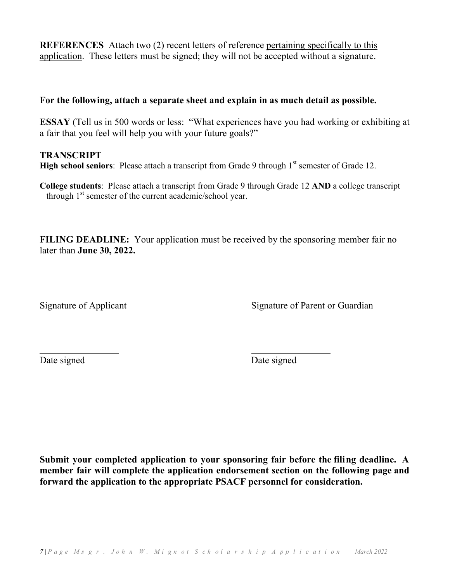**REFERENCES** Attach two (2) recent letters of reference pertaining specifically to this application. These letters must be signed; they will not be accepted without a signature.

#### **For the following, attach a separate sheet and explain in as much detail as possible.**

**ESSAY** (Tell us in 500 words or less: "What experiences have you had working or exhibiting at a fair that you feel will help you with your future goals?"

#### **TRANSCRIPT**

**High school seniors**: Please attach a transcript from Grade 9 through 1<sup>st</sup> semester of Grade 12.

**College students**: Please attach a transcript from Grade 9 through Grade 12 **AND** a college transcript through  $1<sup>st</sup>$  semester of the current academic/school year.

**FILING DEADLINE:** Your application must be received by the sponsoring member fair no later than **June 30, 2022.**

Signature of Applicant Signature of Parent or Guardian

Date signed Date signed

**Submit your completed application to your sponsoring fair before the filing deadline. A member fair will complete the application endorsement section on the following page and forward the application to the appropriate PSACF personnel for consideration.**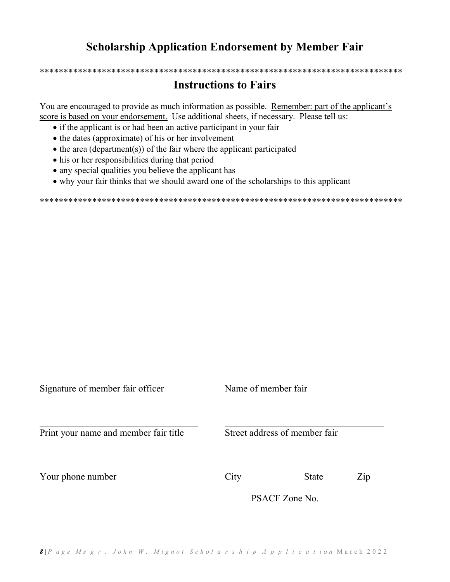# **Scholarship Application Endorsement by Member Fair**

# **Instructions to Fairs**

\*\*\*\*\*\*\*\*\*\*\*\*\*\*\*\*\*\*\*\*\*\*\*\*\*\*\*\*\*\*\*\*\*\*\*\*\*\*\*\*\*\*\*\*\*\*\*\*\*\*\*\*\*\*\*\*\*\*\*\*\*\*\*\*\*\*\*\*\*\*\*\*\*\*\*\*

You are encouraged to provide as much information as possible. Remember: part of the applicant's score is based on your endorsement. Use additional sheets, if necessary. Please tell us:

- if the applicant is or had been an active participant in your fair
- the dates (approximate) of his or her involvement
- the area (department(s)) of the fair where the applicant participated
- his or her responsibilities during that period
- any special qualities you believe the applicant has
- why your fair thinks that we should award one of the scholarships to this applicant

\*\*\*\*\*\*\*\*\*\*\*\*\*\*\*\*\*\*\*\*\*\*\*\*\*\*\*\*\*\*\*\*\*\*\*\*\*\*\*\*\*\*\*\*\*\*\*\*\*\*\*\*\*\*\*\*\*\*\*\*\*\*\*\*\*\*\*\*\*\*\*\*\*\*\*\*

| Signature of member fair officer      | Name of member fair           |                |     |
|---------------------------------------|-------------------------------|----------------|-----|
| Print your name and member fair title | Street address of member fair |                |     |
| Your phone number                     | City                          | <b>State</b>   | Zip |
|                                       |                               | PSACF Zone No. |     |